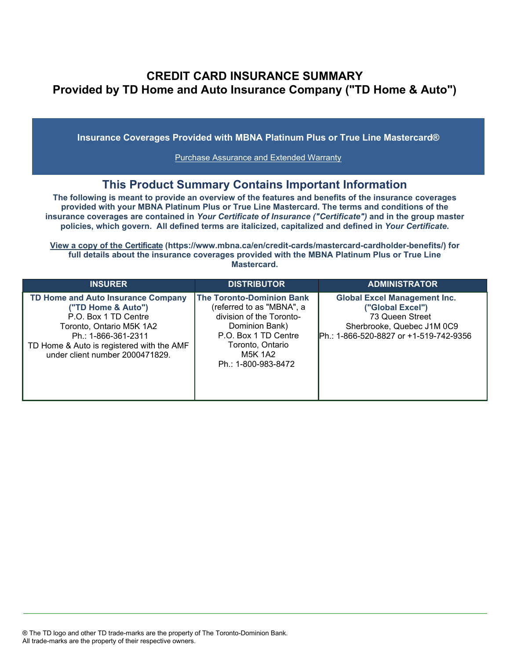## **CREDIT CARD INSURANCE SUMMARY Provided by TD Home and Auto Insurance Company ("TD Home & Auto")**

**Insurance Coverages Provided with MBNA Platinum Plus or True Line Mastercard®**

[Purchase Assurance and Extended Warranty](#page-1-0)

## **This Product Summary Contains Important Information**

**The following is meant to provide an overview of the features and benefits of the insurance coverages provided with your MBNA Platinum Plus or True Line Mastercard. The terms and conditions of the insurance coverages are contained in** *Your Certificate of Insurance ("Certificate")* **and in the group master policies, which govern. All defined terms are italicized, [capitalized and defined in](https://www.mbna.ca/en/credit-cards/mastercard-cardholder-benefits/)** *Your Certificate***.**

**[View a copy of the Certificate](https://www.mbna.ca/en/credit-cards/mastercard-cardholder-benefits/) (https://www.mbna.ca/en/credit-cards/mastercard-cardholder-benefits/) for full details about the insurance coverages provided with the MBNA Platinum Plus or True Line Mastercard.**

| <b>INSURER</b>                                                                                                                                                                                                             | <b>DISTRIBUTOR</b>                                                                                                                                                                               | <b>ADMINISTRATOR</b>                                                                                                                               |
|----------------------------------------------------------------------------------------------------------------------------------------------------------------------------------------------------------------------------|--------------------------------------------------------------------------------------------------------------------------------------------------------------------------------------------------|----------------------------------------------------------------------------------------------------------------------------------------------------|
| <b>TD Home and Auto Insurance Company</b><br>("TD Home & Auto")<br>P.O. Box 1 TD Centre<br>Toronto, Ontario M5K 1A2<br>Ph.: 1-866-361-2311<br>TD Home & Auto is registered with the AMF<br>under client number 2000471829. | <b>The Toronto-Dominion Bank</b><br>(referred to as "MBNA", a<br>division of the Toronto-<br>Dominion Bank)<br>P.O. Box 1 TD Centre<br>Toronto, Ontario<br><b>M5K 1A2</b><br>Ph.: 1-800-983-8472 | <b>Global Excel Management Inc.</b><br>("Global Excel")<br>73 Queen Street<br>Sherbrooke, Quebec J1M 0C9<br>Ph.: 1-866-520-8827 or +1-519-742-9356 |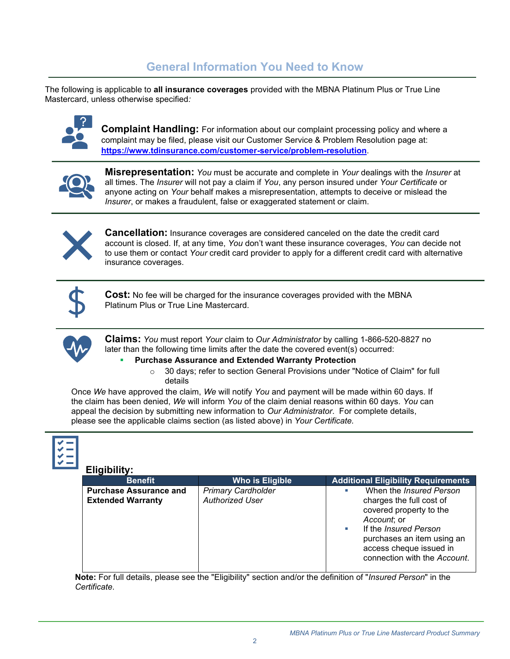# **General Information You Need to Know**

The following is applicable to **all insurance coverages** provided with the MBNA Platinum Plus or True Line Mastercard, unless otherwise specified*:*



**Complaint Handling:** For information about our complaint processing policy and where a complaint may be filed, please visit our Customer Service & Problem Resolution page at: **<https://www.tdinsurance.com/customer-service/problem-resolution>**.



**Misrepresentation:** *You* must be accurate and complete in *Your* dealings with the *Insurer* at all times. The *Insurer* will not pay a claim if *You*, any person insured under *Your Certificate* or anyone acting on *Your* behalf makes a misrepresentation, attempts to deceive or mislead the *Insurer*, or makes a fraudulent, false or exaggerated statement or claim.



**Cancellation:** Insurance coverages are considered canceled on the date the credit card account is closed. If, at any time, *You* don't want these insurance coverages, *You* can decide not to use them or contact *Your* credit card provider to apply for a different credit card with alternative insurance coverages.



**Cost:** No fee will be charged for the insurance coverages provided with the MBNA Platinum Plus or True Line Mastercard.



**Claims:** *You* must report *Your* claim to *Our Administrator* by calling 1-866-520-8827 no later than the following time limits after the date the covered event(s) occurred:

#### **Purchase Assurance and Extended Warranty Protection**

 $\circ$  30 days; refer to section General Provisions under "Notice of Claim" for full details

Once *We* have approved the claim, *We* will notify *You* and payment will be made within 60 days. If the claim has been denied, *We* will inform *You* of the claim denial reasons within 60 days. *You* can appeal the decision by submitting new information to *Our Administrator*. For complete details, please see the applicable claims section (as listed above) in *Your Certificate.*



### **Eligibility:**

| <b>Benefit</b>                                            | Who is Eligible                                     | <b>Additional Eligibility Requirements</b>                                                                                                                                                                                               |
|-----------------------------------------------------------|-----------------------------------------------------|------------------------------------------------------------------------------------------------------------------------------------------------------------------------------------------------------------------------------------------|
| <b>Purchase Assurance and</b><br><b>Extended Warranty</b> | <b>Primary Cardholder</b><br><b>Authorized User</b> | When the <i>Insured Person</i><br>×<br>charges the full cost of<br>covered property to the<br>Account; or<br>If the <i>Insured Person</i><br>×.<br>purchases an item using an<br>access cheque issued in<br>connection with the Account. |

<span id="page-1-0"></span>**Note:** For full details, please see the "Eligibility" section and/or the definition of "*Insured Person*" in the *Certificate*.